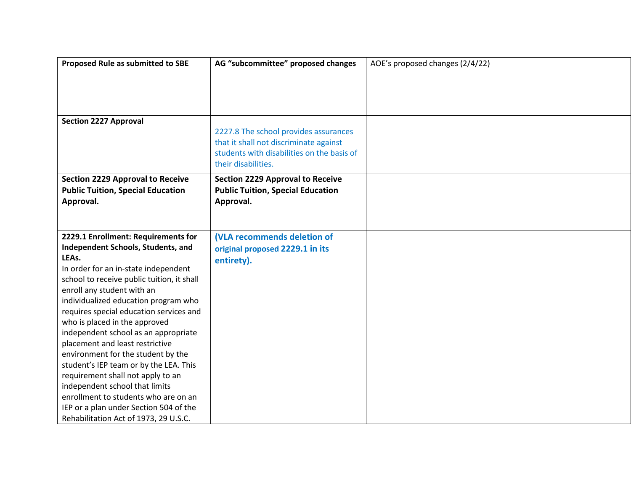| Proposed Rule as submitted to SBE                                     | AG "subcommittee" proposed changes         | AOE's proposed changes (2/4/22) |
|-----------------------------------------------------------------------|--------------------------------------------|---------------------------------|
|                                                                       |                                            |                                 |
|                                                                       |                                            |                                 |
|                                                                       |                                            |                                 |
|                                                                       |                                            |                                 |
| <b>Section 2227 Approval</b>                                          |                                            |                                 |
|                                                                       | 2227.8 The school provides assurances      |                                 |
|                                                                       | that it shall not discriminate against     |                                 |
|                                                                       | students with disabilities on the basis of |                                 |
|                                                                       | their disabilities.                        |                                 |
| <b>Section 2229 Approval to Receive</b>                               | <b>Section 2229 Approval to Receive</b>    |                                 |
| <b>Public Tuition, Special Education</b>                              | <b>Public Tuition, Special Education</b>   |                                 |
| Approval.                                                             | Approval.                                  |                                 |
|                                                                       |                                            |                                 |
|                                                                       |                                            |                                 |
| 2229.1 Enrollment: Requirements for                                   | (VLA recommends deletion of                |                                 |
| Independent Schools, Students, and                                    | original proposed 2229.1 in its            |                                 |
| LEAs.                                                                 | entirety).                                 |                                 |
| In order for an in-state independent                                  |                                            |                                 |
| school to receive public tuition, it shall                            |                                            |                                 |
| enroll any student with an                                            |                                            |                                 |
| individualized education program who                                  |                                            |                                 |
| requires special education services and                               |                                            |                                 |
| who is placed in the approved                                         |                                            |                                 |
| independent school as an appropriate                                  |                                            |                                 |
| placement and least restrictive<br>environment for the student by the |                                            |                                 |
| student's IEP team or by the LEA. This                                |                                            |                                 |
| requirement shall not apply to an                                     |                                            |                                 |
| independent school that limits                                        |                                            |                                 |
| enrollment to students who are on an                                  |                                            |                                 |
| IEP or a plan under Section 504 of the                                |                                            |                                 |
| Rehabilitation Act of 1973, 29 U.S.C.                                 |                                            |                                 |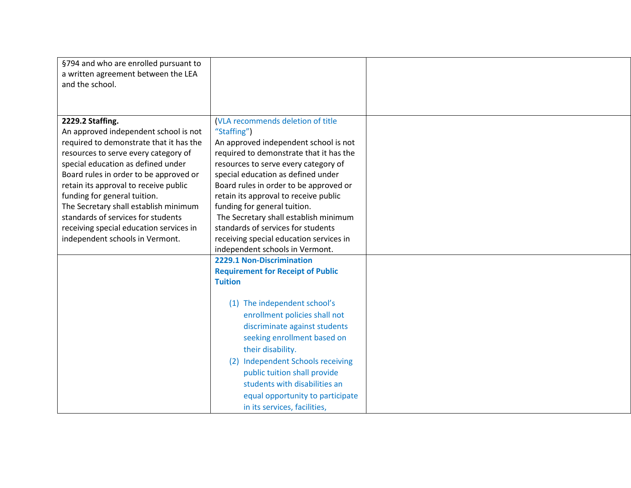| §794 and who are enrolled pursuant to<br>a written agreement between the LEA<br>and the school.                                                                                                                                                                                                                                                                                                                                                                    |                                                                                                                                                                                                                                                                                                                                                                                                                                                                                                    |  |
|--------------------------------------------------------------------------------------------------------------------------------------------------------------------------------------------------------------------------------------------------------------------------------------------------------------------------------------------------------------------------------------------------------------------------------------------------------------------|----------------------------------------------------------------------------------------------------------------------------------------------------------------------------------------------------------------------------------------------------------------------------------------------------------------------------------------------------------------------------------------------------------------------------------------------------------------------------------------------------|--|
| 2229.2 Staffing.<br>An approved independent school is not<br>required to demonstrate that it has the<br>resources to serve every category of<br>special education as defined under<br>Board rules in order to be approved or<br>retain its approval to receive public<br>funding for general tuition.<br>The Secretary shall establish minimum<br>standards of services for students<br>receiving special education services in<br>independent schools in Vermont. | (VLA recommends deletion of title<br>"Staffing")<br>An approved independent school is not<br>required to demonstrate that it has the<br>resources to serve every category of<br>special education as defined under<br>Board rules in order to be approved or<br>retain its approval to receive public<br>funding for general tuition.<br>The Secretary shall establish minimum<br>standards of services for students<br>receiving special education services in<br>independent schools in Vermont. |  |
|                                                                                                                                                                                                                                                                                                                                                                                                                                                                    | 2229.1 Non-Discrimination<br><b>Requirement for Receipt of Public</b><br><b>Tuition</b><br>(1) The independent school's<br>enrollment policies shall not<br>discriminate against students<br>seeking enrollment based on<br>their disability.<br>(2) Independent Schools receiving<br>public tuition shall provide<br>students with disabilities an<br>equal opportunity to participate<br>in its services, facilities,                                                                            |  |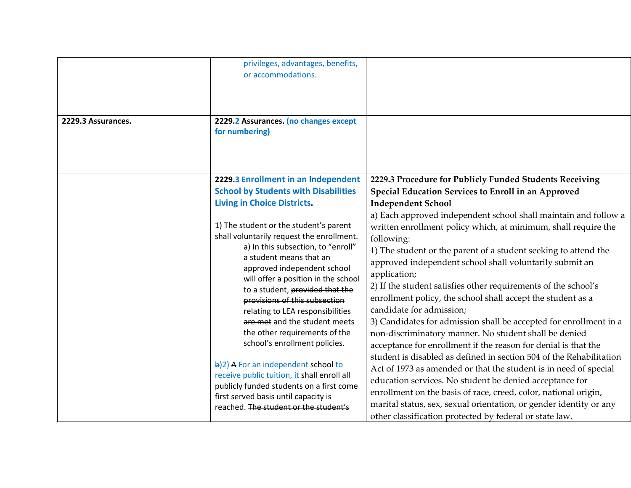| 2229.3 Assurances. | privileges, advantages, benefits,<br>or accommodations.<br>2229.2 Assurances. (no changes except<br>for numbering)                                                                                                                                                                                                                                                                                                                                                                                                                                                                                                                                      |                                                                                                                                                                                                                                                                                                                                                                                                                                                                                                                                                                                                                                                                                                                                                                                                                                                                                                                                                                                                                 |
|--------------------|---------------------------------------------------------------------------------------------------------------------------------------------------------------------------------------------------------------------------------------------------------------------------------------------------------------------------------------------------------------------------------------------------------------------------------------------------------------------------------------------------------------------------------------------------------------------------------------------------------------------------------------------------------|-----------------------------------------------------------------------------------------------------------------------------------------------------------------------------------------------------------------------------------------------------------------------------------------------------------------------------------------------------------------------------------------------------------------------------------------------------------------------------------------------------------------------------------------------------------------------------------------------------------------------------------------------------------------------------------------------------------------------------------------------------------------------------------------------------------------------------------------------------------------------------------------------------------------------------------------------------------------------------------------------------------------|
|                    | 2229.3 Enrollment in an Independent<br><b>School by Students with Disabilities</b><br><b>Living in Choice Districts.</b><br>1) The student or the student's parent<br>shall voluntarily request the enrollment.<br>a) In this subsection, to "enroll"<br>a student means that an<br>approved independent school<br>will offer a position in the school<br>to a student, provided that the<br>provisions of this subsection<br>relating to LEA responsibilities<br>are met and the student meets<br>the other requirements of the<br>school's enrollment policies.<br>b)2) A For an independent school to<br>receive public tuition, it shall enroll all | 2229.3 Procedure for Publicly Funded Students Receiving<br>Special Education Services to Enroll in an Approved<br><b>Independent School</b><br>a) Each approved independent school shall maintain and follow a<br>written enrollment policy which, at minimum, shall require the<br>following:<br>1) The student or the parent of a student seeking to attend the<br>approved independent school shall voluntarily submit an<br>application;<br>2) If the student satisfies other requirements of the school's<br>enrollment policy, the school shall accept the student as a<br>candidate for admission;<br>3) Candidates for admission shall be accepted for enrollment in a<br>non-discriminatory manner. No student shall be denied<br>acceptance for enrollment if the reason for denial is that the<br>student is disabled as defined in section 504 of the Rehabilitation<br>Act of 1973 as amended or that the student is in need of special<br>education services. No student be denied acceptance for |
|                    | publicly funded students on a first come<br>first served basis until capacity is<br>reached. The student or the student's                                                                                                                                                                                                                                                                                                                                                                                                                                                                                                                               | enrollment on the basis of race, creed, color, national origin,<br>marital status, sex, sexual orientation, or gender identity or any<br>other classification protected by federal or state law.                                                                                                                                                                                                                                                                                                                                                                                                                                                                                                                                                                                                                                                                                                                                                                                                                |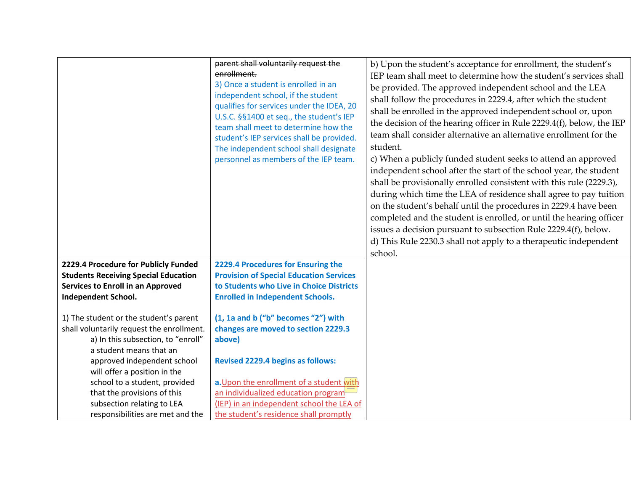|                                                                                                                                                      | parent shall voluntarily request the<br>enrollment.<br>3) Once a student is enrolled in an<br>independent school, if the student<br>qualifies for services under the IDEA, 20<br>U.S.C. §§1400 et seq., the student's IEP<br>team shall meet to determine how the<br>student's IEP services shall be provided.<br>The independent school shall designate<br>personnel as members of the IEP team. | b) Upon the student's acceptance for enrollment, the student's<br>IEP team shall meet to determine how the student's services shall<br>be provided. The approved independent school and the LEA<br>shall follow the procedures in 2229.4, after which the student<br>shall be enrolled in the approved independent school or, upon<br>the decision of the hearing officer in Rule 2229.4(f), below, the IEP<br>team shall consider alternative an alternative enrollment for the<br>student.<br>c) When a publicly funded student seeks to attend an approved<br>independent school after the start of the school year, the student<br>shall be provisionally enrolled consistent with this rule (2229.3),<br>during which time the LEA of residence shall agree to pay tuition<br>on the student's behalf until the procedures in 2229.4 have been<br>completed and the student is enrolled, or until the hearing officer<br>issues a decision pursuant to subsection Rule 2229.4(f), below.<br>d) This Rule 2230.3 shall not apply to a therapeutic independent<br>school. |
|------------------------------------------------------------------------------------------------------------------------------------------------------|---------------------------------------------------------------------------------------------------------------------------------------------------------------------------------------------------------------------------------------------------------------------------------------------------------------------------------------------------------------------------------------------------|------------------------------------------------------------------------------------------------------------------------------------------------------------------------------------------------------------------------------------------------------------------------------------------------------------------------------------------------------------------------------------------------------------------------------------------------------------------------------------------------------------------------------------------------------------------------------------------------------------------------------------------------------------------------------------------------------------------------------------------------------------------------------------------------------------------------------------------------------------------------------------------------------------------------------------------------------------------------------------------------------------------------------------------------------------------------------|
| 2229.4 Procedure for Publicly Funded                                                                                                                 | 2229.4 Procedures for Ensuring the                                                                                                                                                                                                                                                                                                                                                                |                                                                                                                                                                                                                                                                                                                                                                                                                                                                                                                                                                                                                                                                                                                                                                                                                                                                                                                                                                                                                                                                              |
| <b>Students Receiving Special Education</b>                                                                                                          | <b>Provision of Special Education Services</b>                                                                                                                                                                                                                                                                                                                                                    |                                                                                                                                                                                                                                                                                                                                                                                                                                                                                                                                                                                                                                                                                                                                                                                                                                                                                                                                                                                                                                                                              |
| Services to Enroll in an Approved                                                                                                                    | to Students who Live in Choice Districts                                                                                                                                                                                                                                                                                                                                                          |                                                                                                                                                                                                                                                                                                                                                                                                                                                                                                                                                                                                                                                                                                                                                                                                                                                                                                                                                                                                                                                                              |
| <b>Independent School.</b>                                                                                                                           | <b>Enrolled in Independent Schools.</b>                                                                                                                                                                                                                                                                                                                                                           |                                                                                                                                                                                                                                                                                                                                                                                                                                                                                                                                                                                                                                                                                                                                                                                                                                                                                                                                                                                                                                                                              |
| 1) The student or the student's parent<br>shall voluntarily request the enrollment.<br>a) In this subsection, to "enroll"<br>a student means that an | (1, 1a and b ("b" becomes "2") with<br>changes are moved to section 2229.3<br>above)                                                                                                                                                                                                                                                                                                              |                                                                                                                                                                                                                                                                                                                                                                                                                                                                                                                                                                                                                                                                                                                                                                                                                                                                                                                                                                                                                                                                              |
| approved independent school                                                                                                                          | <b>Revised 2229.4 begins as follows:</b>                                                                                                                                                                                                                                                                                                                                                          |                                                                                                                                                                                                                                                                                                                                                                                                                                                                                                                                                                                                                                                                                                                                                                                                                                                                                                                                                                                                                                                                              |
| will offer a position in the                                                                                                                         |                                                                                                                                                                                                                                                                                                                                                                                                   |                                                                                                                                                                                                                                                                                                                                                                                                                                                                                                                                                                                                                                                                                                                                                                                                                                                                                                                                                                                                                                                                              |
| school to a student, provided                                                                                                                        | a. Upon the enrollment of a student with                                                                                                                                                                                                                                                                                                                                                          |                                                                                                                                                                                                                                                                                                                                                                                                                                                                                                                                                                                                                                                                                                                                                                                                                                                                                                                                                                                                                                                                              |
| that the provisions of this                                                                                                                          | an individualized education program                                                                                                                                                                                                                                                                                                                                                               |                                                                                                                                                                                                                                                                                                                                                                                                                                                                                                                                                                                                                                                                                                                                                                                                                                                                                                                                                                                                                                                                              |
| subsection relating to LEA                                                                                                                           | (IEP) in an independent school the LEA of                                                                                                                                                                                                                                                                                                                                                         |                                                                                                                                                                                                                                                                                                                                                                                                                                                                                                                                                                                                                                                                                                                                                                                                                                                                                                                                                                                                                                                                              |
| responsibilities are met and the                                                                                                                     | the student's residence shall promptly                                                                                                                                                                                                                                                                                                                                                            |                                                                                                                                                                                                                                                                                                                                                                                                                                                                                                                                                                                                                                                                                                                                                                                                                                                                                                                                                                                                                                                                              |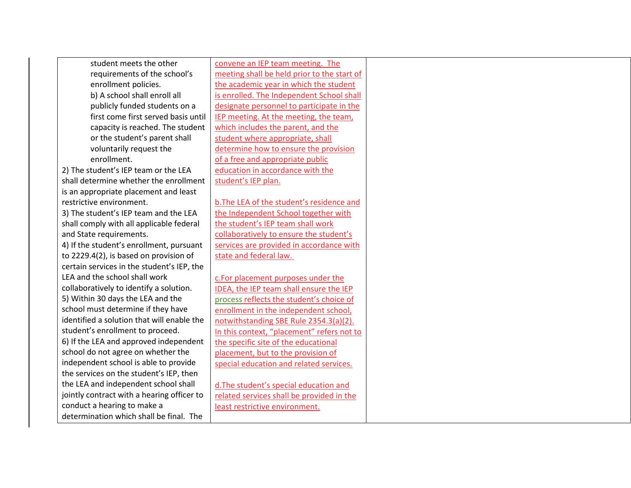| student meets the other                    | convene an IEP team meeting. The            |  |
|--------------------------------------------|---------------------------------------------|--|
| requirements of the school's               | meeting shall be held prior to the start of |  |
| enrollment policies.                       | the academic year in which the student      |  |
| b) A school shall enroll all               | is enrolled. The Independent School shall   |  |
| publicly funded students on a              | designate personnel to participate in the   |  |
| first come first served basis until        | IEP meeting. At the meeting, the team,      |  |
| capacity is reached. The student           | which includes the parent, and the          |  |
| or the student's parent shall              | student where appropriate, shall            |  |
| voluntarily request the                    | determine how to ensure the provision       |  |
|                                            | of a free and appropriate public            |  |
| 2) The student's IEP team or the LEA       | education in accordance with the            |  |
| shall determine whether the enrollment     | student's IEP plan.                         |  |
| is an appropriate placement and least      |                                             |  |
|                                            | b. The LEA of the student's residence and   |  |
| 3) The student's IEP team and the LEA      | the Independent School together with        |  |
| shall comply with all applicable federal   | the student's IEP team shall work           |  |
|                                            | collaboratively to ensure the student's     |  |
| 4) If the student's enrollment, pursuant   | services are provided in accordance with    |  |
| to 2229.4(2), is based on provision of     | state and federal law.                      |  |
| certain services in the student's IEP, the |                                             |  |
| LEA and the school shall work              | c.For placement purposes under the          |  |
| collaboratively to identify a solution.    | IDEA, the IEP team shall ensure the IEP     |  |
| 5) Within 30 days the LEA and the          | process reflects the student's choice of    |  |
| school must determine if they have         | enrollment in the independent school,       |  |
| identified a solution that will enable the | notwithstanding SBE Rule 2354.3(a)(2).      |  |
| student's enrollment to proceed.           | In this context, "placement" refers not to  |  |
| 6) If the LEA and approved independent     | the specific site of the educational        |  |
| school do not agree on whether the         | placement, but to the provision of          |  |
| independent school is able to provide      | special education and related services.     |  |
| the services on the student's IEP, then    |                                             |  |
| the LEA and independent school shall       | d. The student's special education and      |  |
| jointly contract with a hearing officer to | related services shall be provided in the   |  |
| conduct a hearing to make a                | least restrictive environment.              |  |
| determination which shall be final. The    |                                             |  |
|                                            |                                             |  |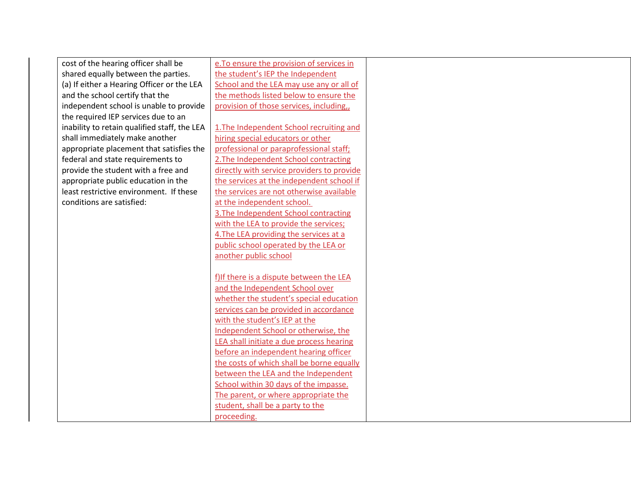| cost of the hearing officer shall be<br>e. To ensure the provision of services in        |  |
|------------------------------------------------------------------------------------------|--|
| the student's IEP the Independent<br>shared equally between the parties.                 |  |
| (a) If either a Hearing Officer or the LEA<br>School and the LEA may use any or all of   |  |
| the methods listed below to ensure the<br>and the school certify that the                |  |
| independent school is unable to provide<br>provision of those services, including,,      |  |
| the required IEP services due to an                                                      |  |
| 1. The Independent School recruiting and<br>inability to retain qualified staff, the LEA |  |
| hiring special educators or other<br>shall immediately make another                      |  |
| appropriate placement that satisfies the<br>professional or paraprofessional staff;      |  |
| 2. The Independent School contracting<br>federal and state requirements to               |  |
| provide the student with a free and<br>directly with service providers to provide        |  |
| appropriate public education in the<br>the services at the independent school if         |  |
| the services are not otherwise available<br>least restrictive environment. If these      |  |
| at the independent school.<br>conditions are satisfied:                                  |  |
| 3. The Independent School contracting                                                    |  |
| with the LEA to provide the services;                                                    |  |
| 4. The LEA providing the services at a                                                   |  |
| public school operated by the LEA or                                                     |  |
| another public school                                                                    |  |
|                                                                                          |  |
| f) If there is a dispute between the LEA                                                 |  |
| and the Independent School over                                                          |  |
| whether the student's special education                                                  |  |
| services can be provided in accordance                                                   |  |
| with the student's IEP at the                                                            |  |
| Independent School or otherwise, the                                                     |  |
| LEA shall initiate a due process hearing                                                 |  |
| before an independent hearing officer                                                    |  |
| the costs of which shall be borne equally                                                |  |
| between the LEA and the Independent                                                      |  |
| School within 30 days of the impasse.                                                    |  |
| The parent, or where appropriate the                                                     |  |
| student, shall be a party to the                                                         |  |
| proceeding.                                                                              |  |